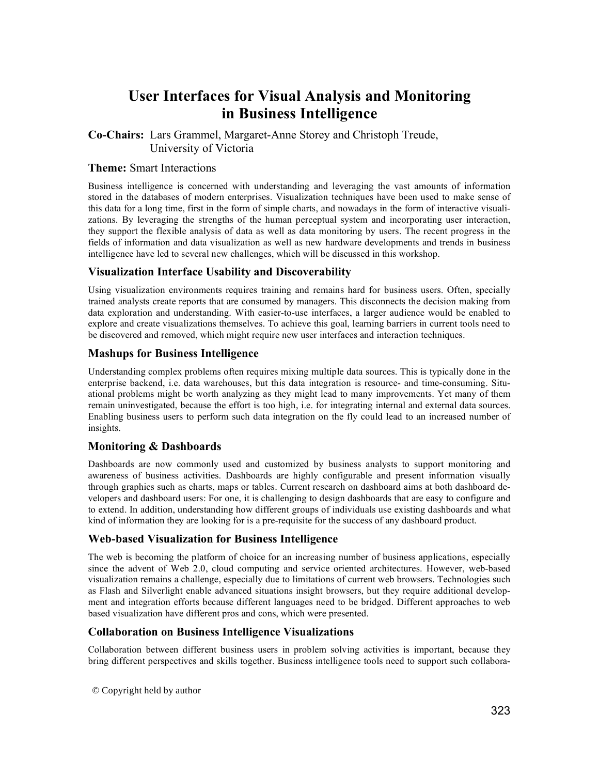# **User Interfaces for Visual Analysis and Monitoring in Business Intelligence**

**Co-Chairs:** Lars Grammel, Margaret-Anne Storey and Christoph Treude, University of Victoria

#### **Theme:** Smart Interactions

Business intelligence is concerned with understanding and leveraging the vast amounts of information stored in the databases of modern enterprises. Visualization techniques have been used to make sense of this data for a long time, first in the form of simple charts, and nowadays in the form of interactive visualizations. By leveraging the strengths of the human perceptual system and incorporating user interaction, they support the flexible analysis of data as well as data monitoring by users. The recent progress in the fields of information and data visualization as well as new hardware developments and trends in business intelligence have led to several new challenges, which will be discussed in this workshop.

## **Visualization Interface Usability and Discoverability**

Using visualization environments requires training and remains hard for business users. Often, specially trained analysts create reports that are consumed by managers. This disconnects the decision making from data exploration and understanding. With easier-to-use interfaces, a larger audience would be enabled to explore and create visualizations themselves. To achieve this goal, learning barriers in current tools need to be discovered and removed, which might require new user interfaces and interaction techniques.

#### **Mashups for Business Intelligence**

Understanding complex problems often requires mixing multiple data sources. This is typically done in the enterprise backend, i.e. data warehouses, but this data integration is resource- and time-consuming. Situational problems might be worth analyzing as they might lead to many improvements. Yet many of them remain uninvestigated, because the effort is too high, i.e. for integrating internal and external data sources. Enabling business users to perform such data integration on the fly could lead to an increased number of insights.

## **Monitoring & Dashboards**

Dashboards are now commonly used and customized by business analysts to support monitoring and awareness of business activities. Dashboards are highly configurable and present information visually through graphics such as charts, maps or tables. Current research on dashboard aims at both dashboard developers and dashboard users: For one, it is challenging to design dashboards that are easy to configure and to extend. In addition, understanding how different groups of individuals use existing dashboards and what kind of information they are looking for is a pre-requisite for the success of any dashboard product.

## **Web-based Visualization for Business Intelligence**

The web is becoming the platform of choice for an increasing number of business applications, especially since the advent of Web 2.0, cloud computing and service oriented architectures. However, web-based visualization remains a challenge, especially due to limitations of current web browsers. Technologies such as Flash and Silverlight enable advanced situations insight browsers, but they require additional development and integration efforts because different languages need to be bridged. Different approaches to web based visualization have different pros and cons, which were presented.

#### **Collaboration on Business Intelligence Visualizations**

Collaboration between different business users in problem solving activities is important, because they bring different perspectives and skills together. Business intelligence tools need to support such collabora-

© Copyright held by author